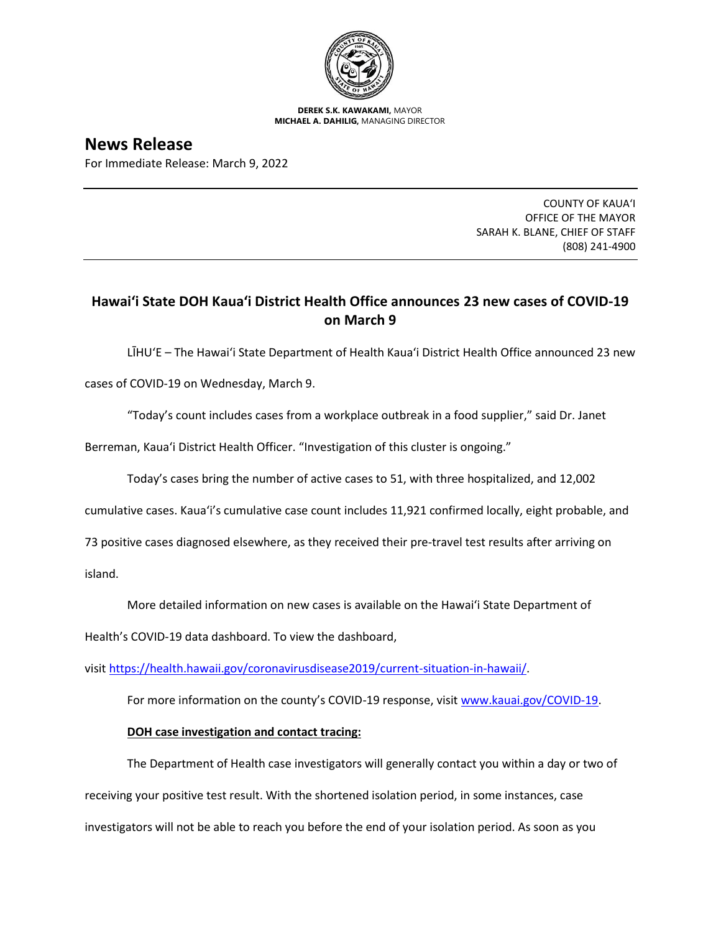

**DEREK S.K. KAWAKAMI,** MAYOR **MICHAEL A. DAHILIG,** MANAGING DIRECTOR

**News Release**

For Immediate Release: March 9, 2022

COUNTY OF KAUA'I OFFICE OF THE MAYOR SARAH K. BLANE, CHIEF OF STAFF (808) 241-4900

## **Hawai'i State DOH Kaua'i District Health Office announces 23 new cases of COVID-19 on March 9**

LĪHU'E – The Hawai'i State Department of Health Kaua'i District Health Office announced 23 new

cases of COVID-19 on Wednesday, March 9.

"Today's count includes cases from a workplace outbreak in a food supplier," said Dr. Janet

Berreman, Kaua'i District Health Officer. "Investigation of this cluster is ongoing."

Today's cases bring the number of active cases to 51, with three hospitalized, and 12,002

cumulative cases. Kaua'i's cumulative case count includes 11,921 confirmed locally, eight probable, and

73 positive cases diagnosed elsewhere, as they received their pre-travel test results after arriving on

island.

More detailed information on new cases is available on the Hawai'i State Department of

Health's COVID-19 data dashboard. To view the dashboard,

visit [https://health.hawaii.gov/coronavirusdisease2019/current-situation-in-hawaii/.](https://health.hawaii.gov/coronavirusdisease2019/current-situation-in-hawaii/)

For more information on the county's COVID-19 response, visit [www.kauai.gov/COVID-19.](https://urldefense.com/v3/__http:/www.kauai.gov/COVID-19__;!!LIYSdFfckKA!l4A5nHuw73q2ubt1jVfVpBxrgAoeT-qm9LHA2X0eDo7DmU1d8EztTez1J2SRjWo05uCKvMiUtA$)

## **DOH case investigation and contact tracing:**

The Department of Health case investigators will generally contact you within a day or two of receiving your positive test result. With the shortened isolation period, in some instances, case investigators will not be able to reach you before the end of your isolation period. As soon as you